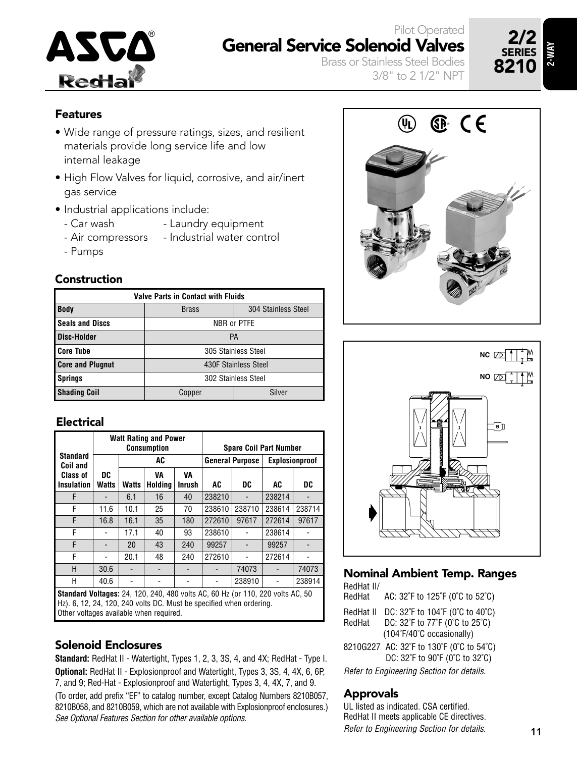

### Pilot Operated General Service Solenoid Valves

Brass or Stainless Steel Bodies 3/8" to 2 1/2" NPT



#### Features

- Wide range of pressure ratings, sizes, and resilient materials provide long service life and low internal leakage
- High Flow Valves for liquid, corrosive, and air/inert gas service
- Industrial applications include:
	- Car wash Laundry equipment
	- Air compressors Industrial water control
	- Pumps

#### Construction

|                         | <b>Valve Parts in Contact with Fluids</b> |                      |  |  |  |  |  |  |  |  |  |  |
|-------------------------|-------------------------------------------|----------------------|--|--|--|--|--|--|--|--|--|--|
| <b>Body</b>             | <b>Brass</b>                              | 304 Stainless Steel  |  |  |  |  |  |  |  |  |  |  |
| <b>Seals and Discs</b>  | NBR or PTFE                               |                      |  |  |  |  |  |  |  |  |  |  |
| <b>Disc-Holder</b>      | <b>PA</b>                                 |                      |  |  |  |  |  |  |  |  |  |  |
| <b>Core Tube</b>        |                                           | 305 Stainless Steel  |  |  |  |  |  |  |  |  |  |  |
| <b>Core and Plugnut</b> |                                           | 430F Stainless Steel |  |  |  |  |  |  |  |  |  |  |
| <b>Springs</b>          | 302 Stainless Steel                       |                      |  |  |  |  |  |  |  |  |  |  |
| <b>Shading Coil</b>     | Copper                                    | Silver               |  |  |  |  |  |  |  |  |  |  |

#### Electrical

|                                                                                                                                                                                                                                                                                                                                                                                            |             |       | <b>Watt Rating and Power</b><br><b>Consumption</b> |              | <b>Spare Coil Part Number</b> |                |        |        |  |  |  |
|--------------------------------------------------------------------------------------------------------------------------------------------------------------------------------------------------------------------------------------------------------------------------------------------------------------------------------------------------------------------------------------------|-------------|-------|----------------------------------------------------|--------------|-------------------------------|----------------|--------|--------|--|--|--|
| <b>Standard</b><br>Coil and                                                                                                                                                                                                                                                                                                                                                                |             |       | AC                                                 |              | <b>General Purpose</b>        | Explosionproof |        |        |  |  |  |
| <b>Class of</b><br><b>Insulation</b>                                                                                                                                                                                                                                                                                                                                                       | DC<br>Watts | Watts | VA<br>Holdina                                      | VA<br>Inrush | AC                            | DC             | AC     | DC     |  |  |  |
| F                                                                                                                                                                                                                                                                                                                                                                                          |             | 6.1   | 16                                                 | 40           | 238210                        |                | 238214 |        |  |  |  |
| F                                                                                                                                                                                                                                                                                                                                                                                          | 11.6        | 10.1  | 25                                                 | 70           | 238610                        | 238710         | 238614 | 238714 |  |  |  |
| F                                                                                                                                                                                                                                                                                                                                                                                          | 16.8        | 16.1  | 35                                                 | 180          | 272610                        | 97617          | 272614 | 97617  |  |  |  |
| F                                                                                                                                                                                                                                                                                                                                                                                          |             | 17.1  | 40                                                 | 93           | 238610                        |                | 238614 |        |  |  |  |
| F                                                                                                                                                                                                                                                                                                                                                                                          |             | 20    | 43                                                 | 240          | 99257                         |                | 99257  |        |  |  |  |
| F                                                                                                                                                                                                                                                                                                                                                                                          |             | 20.1  | 48                                                 | 240          | 272610                        |                | 272614 |        |  |  |  |
| Н                                                                                                                                                                                                                                                                                                                                                                                          | 30.6        |       |                                                    |              |                               | 74073          |        | 74073  |  |  |  |
| Н                                                                                                                                                                                                                                                                                                                                                                                          | 40.6        |       |                                                    |              |                               | 238910         |        | 238914 |  |  |  |
| <b>Standard Voltages:</b> 24, 120, 240, 480 volts AC, 60 Hz (or 110, 220 volts AC, 50<br>$\mathsf{I}$ i.e. $\mathsf{A}$ and $\mathsf{A}$ and $\mathsf{A}$ and $\mathsf{A}$ and $\mathsf{A}$ and $\mathsf{A}$ and $\mathsf{A}$ and $\mathsf{A}$ and $\mathsf{A}$ and $\mathsf{A}$ and $\mathsf{A}$ and $\mathsf{A}$ and $\mathsf{A}$ and $\mathsf{A}$ and $\mathsf{A}$ and $\mathsf{A}$ and |             |       |                                                    |              |                               |                |        |        |  |  |  |

Hz). 6, 12, 24, 120, 240 volts DC. Must be specified when ordering. Other voltages available when required.

#### Solenoid Enclosures

**Standard:** RedHat II - Watertight, Types 1, 2, 3, 3S, 4, and 4X; RedHat - Type I. **Optional:** RedHat II - Explosionproof and Watertight, Types 3, 3S, 4, 4X, 6, 6P, 7, and 9; Red-Hat - Explosionproof and Watertight, Types 3, 4, 4X, 7, and 9. (To order, add prefix "EF" to catalog number, except Catalog Numbers 8210B057, 8210B058, and 8210B059, which are not available with Explosionproof enclosures.) See Optional Features Section for other available options.





### Nominal Ambient Temp. Ranges

RedHat II/

| RedHat | AC: 32°F to 125°F (0°C to 52°C) |
|--------|---------------------------------|
|--------|---------------------------------|

| RedHat II | DC: 32°F to 104°F (0°C to 40°C)                    |
|-----------|----------------------------------------------------|
| RedHat    | DC: 32°F to 77°F (0°C to 25°C)                     |
|           | $(104\textdegree F/40\textdegree C)$ occasionally) |
| --------  | $-100y$                                            |

8210G227 AC: 32˚F to 130˚F (0˚C to 54˚C) DC: 32˚F to 90˚F (0˚C to 32˚C)

Refer to Engineering Section for details.

#### Approvals

UL listed as indicated. CSA certified. RedHat II meets applicable CE directives. Refer to Engineering Section for details.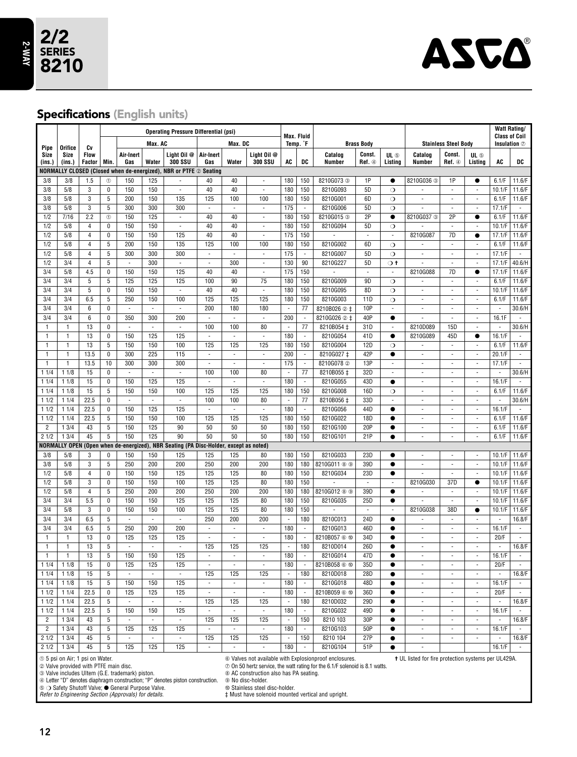

### Specifications (English units)

|                |                                       | <b>Operating Pressure Differential (psi)</b> |                |                                             |                                 | <b>Max. Fluid</b>                                                                     |                             |                          |                               |                                 |                          | <b>Watt Rating/</b><br><b>Class of Coil</b>                                         |                  |                          |                                                     |                                 |                                       |                          |                             |
|----------------|---------------------------------------|----------------------------------------------|----------------|---------------------------------------------|---------------------------------|---------------------------------------------------------------------------------------|-----------------------------|--------------------------|-------------------------------|---------------------------------|--------------------------|-------------------------------------------------------------------------------------|------------------|--------------------------|-----------------------------------------------------|---------------------------------|---------------------------------------|--------------------------|-----------------------------|
| Pipe           | Orifice                               | Cv                                           |                |                                             | Max. AC                         |                                                                                       |                             | Max. DC                  |                               |                                 | Temp. <sup>*</sup> F     | <b>Brass Body</b>                                                                   |                  |                          |                                                     | <b>Stainless Steel Body</b>     |                                       |                          | Insulation $\oslash$        |
| Size<br>(ins.) | Size<br>(ins.)                        | <b>Flow</b><br>Factor                        | Min.           | Air-Inert<br>Gas                            | Water                           | Liaht Oil @<br><b>300 SSU</b>                                                         | Air-Inert<br>Gas            | Water                    | Light Oil @<br><b>300 SSU</b> | AC                              | DC                       | Catalog<br>Number                                                                   | Const.<br>Ref. 4 | UL 5<br>Listing          | Catalog<br>Number                                   | Const.<br>Ref. 4                | UL 5<br>Listing                       | AC                       | DC                          |
|                |                                       |                                              |                | NORMALLY CLOSED (Closed when de-energized), |                                 | <b>NBR or PTFE 2 Seating</b>                                                          |                             |                          |                               |                                 |                          |                                                                                     |                  |                          |                                                     |                                 |                                       |                          |                             |
| 3/8            | 3/8                                   | 1.5                                          | $^{\circ}$     | 150                                         | 125                             |                                                                                       | 40                          | 40                       | $\overline{\phantom{a}}$      | 180                             | 150                      | 8210G073 3                                                                          | 1P               | $\bullet$                | 8210G036 3                                          | 1P                              | $\bullet$                             | 6.1/F                    | 11.6/F                      |
| 3/8            | 5/8                                   | 3                                            | 0              | 150                                         | 150                             | $\bar{a}$                                                                             | 40                          | 40                       | $\sim$                        | 180                             | 150                      | 8210G093                                                                            | 5D               | $\circ$                  |                                                     | ÷,                              | J.                                    | 10.1/F                   | 11.6/F                      |
| 3/8            | 5/8                                   | $\overline{3}$                               | $\overline{5}$ | 200                                         | 150                             | 135                                                                                   | 125                         | 100                      | 100                           | 180                             | 150                      | 8210G001                                                                            | 6D               | $\circ$                  | $\blacksquare$                                      | ä,                              | $\overline{\phantom{a}}$              | 6.1/F                    | 11.6/F                      |
| 3/8            | 5/8                                   | 3                                            | 5              | 300                                         | 300                             | 300                                                                                   | ÷,                          | i,                       | $\overline{\phantom{a}}$      | 175                             | $\overline{\phantom{a}}$ | 8210G006                                                                            | 5D               | $\circ$                  | i,                                                  | ÷,                              | $\overline{\phantom{a}}$              | 17.1/F                   | $\overline{\phantom{a}}$    |
| 1/2            | 7/16                                  | 2.2                                          | $^{\circ}$     | 150                                         | 125                             | ÷,                                                                                    | 40                          | 40                       | ä,                            | 180                             | 150                      | 8210G015 3                                                                          | 2P               | $\bullet$                | 8210G037 3                                          | 2P                              | $\bullet$                             | 6.1/F                    | 11.6/F                      |
| 1/2            | 5/8                                   | $\sqrt{4}$                                   | 0              | 150                                         | 150                             | ÷,                                                                                    | 40                          | 40                       | $\blacksquare$                | 180                             | 150                      | 8210G094                                                                            | 5D<br>÷,         | $\circ$                  |                                                     | ×,                              | ÷,                                    | 10.1/F                   | 11.6/F                      |
| 1/2<br>1/2     | 5/8<br>5/8                            | $\overline{4}$<br>$\overline{4}$             | $\pmb{0}$<br>5 | 150<br>200                                  | 150<br>150                      | 125<br>135                                                                            | 40<br>125                   | 40<br>100                | ÷,<br>100                     | 175<br>180                      | 150<br>150               | 8210G002                                                                            | 6D               | ÷,<br>$\circ$            | 8210G087                                            | 7D<br>$\overline{\phantom{a}}$  | $\bullet$<br>$\overline{\phantom{a}}$ | 17.1/F<br>6.1/F          | 11.6/F<br>11.6/F            |
| 1/2            | 5/8                                   | $\overline{4}$                               | 5              | 300                                         | 300                             | 300                                                                                   | $\mathcal{L}_{\mathcal{A}}$ | $\overline{\phantom{a}}$ | $\overline{\phantom{a}}$      | 175                             | $\overline{\phantom{a}}$ | 8210G007                                                                            | 5D               | $\circ$                  | $\overline{\phantom{a}}$<br>÷,                      | $\overline{\phantom{a}}$        | $\overline{\phantom{a}}$              | 17.1/F                   | $\mathcal{L}_{\mathcal{A}}$ |
| 1/2            | 3/4                                   | $\overline{4}$                               | 5              | $\blacksquare$                              | 300                             | ÷,                                                                                    | $\overline{\phantom{a}}$    | 300                      | $\overline{\phantom{a}}$      | 130                             | 90                       | 8210G227                                                                            | 5D               | $\sigma$ t               | i,                                                  | $\overline{\phantom{a}}$        | $\overline{\phantom{a}}$              | 17.1/F                   | 40.6/H                      |
| 3/4            | 5/8                                   | 4.5                                          | 0              | 150                                         | 150                             | 125                                                                                   | 40                          | 40                       | ä,                            | 175                             | 150                      |                                                                                     | ÷,               | ÷,                       | 8210G088                                            | 7D                              | $\bullet$                             | 17.1/F                   | 11.6/F                      |
| 3/4            | 3/4                                   | 5                                            | 5              | 125                                         | 125                             | 125                                                                                   | 100                         | 90                       | 75                            | 180                             | 150                      | 8210G009                                                                            | 9D               | $\circ$                  | $\overline{\phantom{a}}$                            | $\blacksquare$                  | $\overline{\phantom{a}}$              | 6.1/F                    | 11.6/F                      |
| 3/4            | 3/4                                   | 5                                            | 0              | 150                                         | 150                             | $\blacksquare$                                                                        | 40                          | 40                       | $\blacksquare$                | 180                             | 150                      | 8210G095                                                                            | 8D               | $\circ$                  | ÷,                                                  | $\overline{\phantom{a}}$        | ÷,                                    | 10.1/F                   | 11.6/F                      |
| 3/4            | 3/4                                   | 6.5                                          | 5              | 250                                         | 150                             | 100                                                                                   | 125                         | 125                      | 125                           | 180                             | 150                      | 8210G003                                                                            | 11D              | $\circ$                  | $\overline{\phantom{a}}$                            | $\overline{\phantom{a}}$        | $\blacksquare$                        | 6.1/F                    | 11.6/F                      |
| 3/4            | 3/4                                   | 6                                            | 0              | ÷,                                          | $\overline{\phantom{a}}$        | $\overline{\phantom{a}}$                                                              | 200                         | 180                      | 180                           | $\overline{\phantom{a}}$        | 77                       | 8210B026 2 ‡                                                                        | 10P              | ÷,                       | ÷,                                                  | $\overline{\phantom{a}}$        | ÷,                                    | ÷,                       | 30.6/H                      |
| 3/4            | 3/4                                   | 6                                            | $\overline{0}$ | 350                                         | 300                             | 200                                                                                   | ä,                          | ÷.                       | ä,                            | 200                             | ÷,                       | 8210G026 2 ±                                                                        | 40P              | $\bullet$                | L,                                                  | $\blacksquare$                  | $\Box$                                | 16.1F                    | $\overline{\phantom{a}}$    |
| 1              | $\mathbf{1}$                          | 13                                           | $\mathbf{0}$   | $\overline{\phantom{a}}$                    | $\overline{\phantom{a}}$        | $\overline{\phantom{a}}$                                                              | 100                         | 100                      | 80                            | $\overline{\phantom{a}}$        | 77                       | 8210B054 ±                                                                          | 31D              | $\overline{\phantom{a}}$ | 8210D089                                            | 15D                             | ÷,                                    | $\overline{\phantom{a}}$ | 30.6/H                      |
| 1              | $\mathbf{1}$                          | 13                                           | 0              | 150                                         | 125                             | 125                                                                                   | $\overline{\phantom{a}}$    | ä,                       | $\overline{\phantom{a}}$      | 180                             | $\overline{\phantom{a}}$ | 8210G054                                                                            | 41D              | $\bullet$                | 8210G089                                            | 45D                             | $\bullet$                             | 16.1/F                   | $\sim$                      |
| 1              | $\mathbf{1}$                          | 13                                           | $\overline{5}$ | 150                                         | 150                             | 100                                                                                   | 125                         | 125                      | 125                           | 180                             | 150                      | 8210G004                                                                            | 12D              | $\circ$                  | ä,                                                  | $\overline{\phantom{a}}$        | ÷,                                    | 6.1/F                    | 11.6/F                      |
| 1              | $\mathbf{1}$                          | 13.5                                         | 0              | 300                                         | 225                             | 115                                                                                   | $\sim$                      | $\sim$                   | $\overline{\phantom{a}}$      | 200                             | $\overline{\phantom{a}}$ | 8210G027 ±                                                                          | 42P              | $\bullet$                | $\overline{\phantom{a}}$                            | $\overline{\phantom{a}}$        | $\overline{\phantom{a}}$              | 20.1/F                   | $\mathcal{L}_{\mathcal{A}}$ |
| $\mathbf{1}$   | 1                                     | 13.5                                         | 10             | 300                                         | 300                             | 300                                                                                   | $\overline{\phantom{a}}$    | $\overline{\phantom{a}}$ | $\overline{\phantom{a}}$      | 175                             | $\overline{\phantom{a}}$ | 8210G078 2                                                                          | 13P              | ÷,                       | ÷,                                                  | $\overline{\phantom{a}}$        | $\overline{\phantom{a}}$              | 17.1/F                   | $\mathcal{L}_{\mathcal{A}}$ |
| 11/4           | 11/8                                  | 15                                           | 0              | $\blacksquare$                              | $\sim$                          | $\overline{\phantom{a}}$                                                              | 100                         | 100                      | 80                            | $\overline{\phantom{a}}$        | 77                       | 8210B055 ‡                                                                          | 32D              | ×,                       | $\overline{\phantom{a}}$                            | $\overline{\phantom{a}}$        | $\overline{\phantom{a}}$              | ÷.                       | 30.6/H                      |
| 11/4           | 11/8                                  | 15                                           | 0              | 150                                         | 125                             | 125                                                                                   | $\sim$                      | ÷,                       | $\sim$                        | 180                             | $\bar{z}$                | 8210G055                                                                            | 43D              | $\bullet$                | J.                                                  | $\overline{\phantom{a}}$        | $\bar{z}$                             | 16.1/F                   | $\sim$                      |
| 11/4           | 11/8                                  | 15                                           | 5              | 150                                         | 150                             | 100                                                                                   | 125                         | 125                      | 125                           | 180                             | 150                      | 8210G008                                                                            | 16D              | $\circ$                  | $\overline{\phantom{a}}$                            | $\blacksquare$                  | $\blacksquare$                        | 6.1/F                    | 11.6/F                      |
| 11/2           | 11/4                                  | 22.5                                         | 0              | $\overline{\phantom{a}}$                    | $\blacksquare$                  | $\overline{\phantom{a}}$                                                              | 100                         | 100                      | 80                            | $\blacksquare$                  | 77                       | 8210B056 ‡                                                                          | 33D              | ÷                        | ä,                                                  | $\frac{1}{2}$                   | $\overline{\phantom{a}}$              | ÷,                       | 30.6/H                      |
| 11/2           | 11/4                                  | 22.5                                         | 0              | 150                                         | 125                             | 125                                                                                   | ÷,                          | Ĭ.                       | ÷,                            | 180                             | $\overline{\phantom{a}}$ | 8210G056                                                                            | 44D              | $\bullet$                | ÷,                                                  | ä,                              | ä,                                    | 16.1/F                   |                             |
| 11/2           | 11/4                                  | 22.5                                         | 5              | 150                                         | 150                             | 100                                                                                   | 125                         | 125                      | 125                           | 180                             | 150                      | 8210G022                                                                            | 18D              | $\bullet$                | ä,                                                  | ÷,                              | ÷,                                    | 6.1/F                    | 11.6/F                      |
| $\overline{2}$ | 13/4                                  | 43                                           | 5              | 150                                         | 125                             | 90                                                                                    | 50                          | 50                       | 50                            | 180                             | 150                      | 8210G100                                                                            | 20P              | $\bullet$                | ÷,                                                  | ÷,                              | ÷,                                    | 6.1/F                    | 11.6/F                      |
| 21/2           | 13/4                                  | 45                                           | 5              | 150                                         | 125                             | 90                                                                                    | 50                          | 50                       | 50                            | 180                             | 150                      | 8210G101                                                                            | 21P              | $\bullet$                | $\overline{\phantom{a}}$                            | ÷,                              | ÷,                                    | 6.1/F                    | 11.6/F                      |
|                |                                       |                                              |                |                                             |                                 | NORMALLY OPEN (Open when de-energized), NBR Seating (PA Disc-Holder, except as noted) |                             |                          |                               |                                 |                          |                                                                                     |                  |                          |                                                     |                                 |                                       |                          |                             |
| 3/8            | 5/8                                   | 3                                            | 0              | 150                                         | 150                             | 125                                                                                   | 125                         | 125                      | 80                            | 180                             | 150                      | 8210G033                                                                            | 23D              |                          | $\overline{\phantom{a}}$                            | $\overline{\phantom{a}}$        | $\overline{\phantom{a}}$              | 10.1/F                   | 11.6/F                      |
| 3/8            | 5/8                                   | 3                                            | $\overline{5}$ | 250                                         | 200                             | 200                                                                                   | 250                         | 200                      | 200                           | 180                             | 180                      | 8210G011 ® ®                                                                        | 39D              | $\bullet$                | ä,                                                  | ä,                              | ÷,                                    | 10.1/F                   | 11.6/F                      |
| 1/2            | 5/8                                   | $\overline{4}$                               | 0              | 150                                         | 150                             | 125                                                                                   | 125                         | 125                      | 80                            | 180                             | 150                      | 8210G034                                                                            | 23D              | $\bullet$                | i,                                                  | $\overline{\phantom{a}}$        | $\overline{\phantom{a}}$              | 10.1/F                   | 11.6/F                      |
| 1/2            | 5/8                                   | 3                                            | 0              | 150                                         | 150                             | 100                                                                                   | 125                         | 125                      | 80                            | 180                             | 150                      | ×,                                                                                  | ÷,               | $\overline{\phantom{a}}$ | 8210G030                                            | 37D                             | $\bullet$                             | 10.1/F                   | 11.6/F                      |
| 1/2            | 5/8                                   | $\overline{4}$                               | 5              | 250                                         | 200                             | 200                                                                                   | 250                         | 200                      | 200                           | 180                             | 180                      | 8210G012 <sup>®</sup>                                                               | 39D              | $\bullet$                | $\Box$                                              | $\blacksquare$                  | $\overline{\phantom{a}}$              | 10.1/F                   | 11.6/F                      |
| 3/4            | 3/4                                   | 5.5                                          | 0              | 150                                         | 150                             | 125                                                                                   | 125                         | 125                      | 80                            | 180                             | 150                      | 8210G035                                                                            | 25D<br>ä,        | $\bullet$<br>÷,          | ä,                                                  | $\overline{\phantom{a}}$        | $\overline{\phantom{a}}$              | 10.1/F                   | 11.6/F                      |
| 3/4<br>3/4     | 5/8<br>3/4                            | 3<br>6.5                                     | 0<br>5         | 150<br>$\overline{\phantom{a}}$             | 150<br>$\overline{\phantom{a}}$ | 100                                                                                   | 125<br>250                  | 125<br>200               | 80<br>200                     | 180                             | 150<br>180               | 8210C013                                                                            | 24D              |                          | 8210G038<br>$\overline{\phantom{a}}$                | 38D<br>$\overline{\phantom{a}}$ | $\bullet$                             | 10.1/F<br>$\sim$         | 11.6/F<br>16.8/F            |
| 3/4            | 3/4                                   | 6.5                                          | 5              | 250                                         | 200                             | $\overline{\phantom{a}}$<br>200                                                       | $\overline{\phantom{a}}$    | ÷,                       | $\overline{\phantom{a}}$      | $\overline{\phantom{a}}$<br>180 | $\overline{\phantom{a}}$ | 8210G013                                                                            | 46D              | $\bullet$<br>$\bullet$   | $\overline{\phantom{a}}$                            | $\overline{\phantom{a}}$        | ÷<br>$\overline{\phantom{a}}$         | 16.1/F                   | $\mathcal{L}_{\mathcal{A}}$ |
| $\mathbf{1}$   | $\mathbf{1}$                          | 13                                           | $\pmb{0}$      | 125                                         | 125                             | 125                                                                                   | $\overline{\phantom{a}}$    | $\overline{\phantom{a}}$ | $\overline{\phantom{a}}$      | 180                             | $\overline{\phantom{a}}$ | 8210B057 6 ft                                                                       | 34D              | $\bullet$                | ä,                                                  | $\overline{\phantom{a}}$        | ÷,                                    | 20/F                     | $\mathcal{L}_{\mathcal{A}}$ |
| 1              | 1                                     | 13                                           | $\overline{5}$ | $\Box$                                      | $\mathcal{L}_{\mathcal{A}}$     | $\overline{\phantom{a}}$                                                              | 125                         | 125                      | 125                           | $\overline{\phantom{a}}$        | 180                      | 8210D014                                                                            | 26D              | $\bullet$                | $\overline{\phantom{a}}$                            | $\overline{\phantom{a}}$        | $\overline{\phantom{a}}$              | $\overline{\phantom{a}}$ | 16.8/F                      |
| $\mathbf{1}$   | 1                                     | 13                                           | 5              | 150                                         | 150                             | 125                                                                                   | $\overline{\phantom{a}}$    | ÷,                       | $\overline{\phantom{a}}$      | 180                             | ×.                       | 8210G014                                                                            | 47D              | $\bullet$                | ÷,                                                  | ÷,                              | ÷,                                    | 16.1/F                   | $\overline{\phantom{a}}$    |
| 11/4           | 11/8                                  | 15                                           | $\overline{0}$ | 125                                         | 125                             | 125                                                                                   | ä,                          | ä,                       | $\overline{\phantom{a}}$      | 180                             | $\overline{\phantom{a}}$ | 8210B058 6 f0                                                                       | 35D              | $\bullet$                | ÷,                                                  | ä,                              | ×,                                    | 20/F                     | $\sim$                      |
| 11/4           | 11/8                                  | 15                                           | 5              |                                             | $\sim$                          | $\overline{\phantom{a}}$                                                              | 125                         | 125                      | 125                           | $\sim$                          | 180                      | 8210D018                                                                            | 28D              | $\bullet$                |                                                     | $\overline{\phantom{a}}$        |                                       |                          | 16.8/F                      |
| 11/4           | 11/8                                  | 15                                           | 5              | 150                                         | 150                             | 125                                                                                   | $\sim$                      | $\sim$                   | $\overline{\phantom{a}}$      | 180                             | $\overline{\phantom{a}}$ | 8210G018                                                                            | 48D              | $\bullet$                | $\overline{\phantom{a}}$                            | $\blacksquare$                  | $\omega$                              | 16.1/F                   | $\overline{\phantom{a}}$    |
| 11/2           | 11/4                                  | 22.5                                         | 0              | 125                                         | 125                             | 125                                                                                   | ÷,                          | ä,                       | $\overline{\phantom{a}}$      | 180                             | $\overline{\phantom{a}}$ | 8210B059 ® ®                                                                        | 36D              | $\bullet$                | $\overline{\phantom{a}}$                            | $\blacksquare$                  | ÷,                                    | 20/F                     |                             |
| 11/2           | 11/4                                  | 22.5                                         | 5              | $\overline{\phantom{a}}$                    | ×,                              | ÷,                                                                                    | 125                         | 125                      | 125                           |                                 | 180                      | 8210D032                                                                            | 29D              | $\bullet$                | ÷                                                   | $\frac{1}{2}$                   |                                       |                          | 16.8/F                      |
| 11/2           | 11/4                                  | 22.5                                         | 5              | 150                                         | 150                             | 125                                                                                   | Ĭ.                          |                          | ÷,                            | 180                             | ÷,                       | 8210G032                                                                            | 49D              | $\bullet$                | i,                                                  | $\blacksquare$                  | ÷,                                    | 16.1/F                   |                             |
| 2              | 13/4                                  | 43                                           | 5              | $\overline{\phantom{a}}$                    | ÷,                              | ÷,                                                                                    | 125                         | 125                      | 125                           | $\overline{\phantom{a}}$        | 150                      | 8210 103                                                                            | 30P              | $\bullet$                | $\overline{\phantom{a}}$                            | $\overline{\phantom{a}}$        | ÷,                                    |                          | 16.8/F                      |
| $\overline{2}$ | 13/4                                  | 43                                           | 5              | 125                                         | 125                             | 125                                                                                   | $\overline{\phantom{a}}$    | $\blacksquare$           | $\overline{\phantom{a}}$      | 180                             | $\overline{\phantom{a}}$ | 8210G103                                                                            | 50P              | $\bullet$                | $\overline{\phantom{a}}$                            | $\overline{\phantom{a}}$        | $\overline{\phantom{a}}$              | 16.1/F                   |                             |
| 21/2           | 13/4                                  | 45                                           | $\sqrt{5}$     | $\overline{\phantom{a}}$                    | $\overline{\phantom{a}}$        | $\overline{\phantom{a}}$                                                              | 125                         | 125                      | 125                           | $\overline{\phantom{a}}$        | 150                      | 8210 104                                                                            | 27P              | $\bullet$                | $\overline{\phantom{a}}$                            | $\overline{\phantom{a}}$        | $\overline{\phantom{a}}$              |                          | 16.8/F                      |
| 21/2           | 13/4                                  | 45                                           | 5              | 125                                         | 125                             | 125                                                                                   | $\overline{\phantom{a}}$    | ÷.                       | $\overline{\phantom{a}}$      | 180                             | $\overline{\phantom{a}}$ | 8210G104                                                                            | 51P              | $\bullet$                | $\overline{\phantom{a}}$                            |                                 |                                       | 16.1/F                   | $\sim$                      |
|                | 10 5 psi on Air; 1 psi on Water.      |                                              |                |                                             |                                 |                                                                                       |                             |                          |                               |                                 |                          | <sup>6</sup> Valves not available with Explosionproof enclosures.                   |                  |                          | + UL listed for fire protection systems per UL429A. |                                 |                                       |                          |                             |
|                | 2 Valve provided with PTFE main disc. |                                              |                |                                             |                                 |                                                                                       |                             |                          |                               |                                 |                          | $\oslash$ On 50 hertz service, the watt rating for the 6.1/F solenoid is 8.1 watts. |                  |                          |                                                     |                                 |                                       |                          |                             |

 $\circledast$  Valve includes Ultem (G.E. trademark) piston.

➃ Letter "D" denotes diaphragm construction; "P" denotes piston construction. ➈ No disc-holder. ➄ ❍ Safety Shutoff Valve; ● General Purpose Valve. ➉ Stainless steel disc-holder. Refer to Engineering Section (Approvals) for details. ‡ Must have solenoid mounted vertical and upright.

**◯ On 50 hertz service, the watt rating for the 6.1/F solenoid is 8.1 watts. ◎ AC** construction also has PA seating.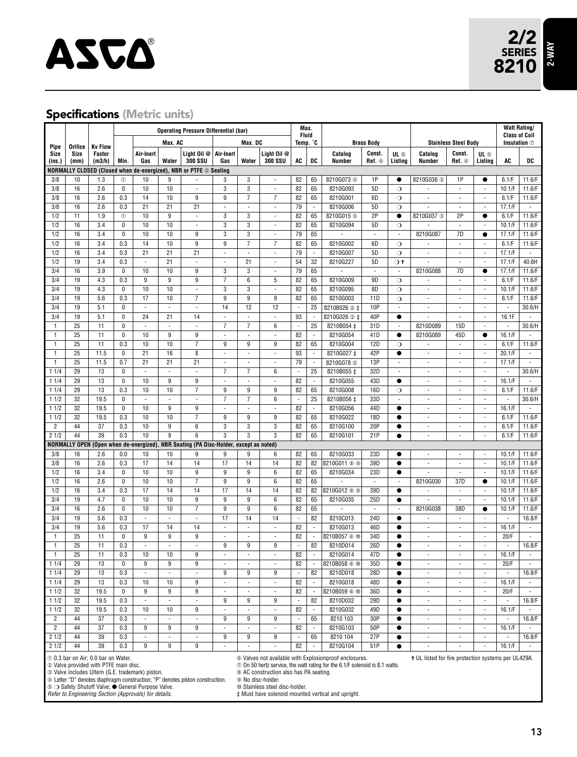

#### **Specifications (Metric units)**

|                   |                 |                                                       |                            | <b>Operating Pressure Differential (bar)</b>       |                          |                                                                               | Max.                     |                              |                                           |                                |                                        |                                                                              |                             | <b>Watt Rating/</b>                 |                                                     |                                                      |                                                      |                                   |                                    |
|-------------------|-----------------|-------------------------------------------------------|----------------------------|----------------------------------------------------|--------------------------|-------------------------------------------------------------------------------|--------------------------|------------------------------|-------------------------------------------|--------------------------------|----------------------------------------|------------------------------------------------------------------------------|-----------------------------|-------------------------------------|-----------------------------------------------------|------------------------------------------------------|------------------------------------------------------|-----------------------------------|------------------------------------|
|                   |                 |                                                       |                            |                                                    | Max. AC                  |                                                                               |                          | Max. DC                      |                                           |                                | Fluid<br>Temp. °C<br><b>Brass Body</b> |                                                                              |                             | <b>Stainless Steel Body</b>         |                                                     |                                                      | <b>Class of Coil</b><br>Insulation $\oslash$         |                                   |                                    |
| Pipe<br>Size      | Orifice<br>Size | <b>Kv Flow</b><br>Factor                              |                            | Air-Inert                                          |                          | Light Oil @                                                                   | Air-Inert                |                              | Light Oil @                               |                                |                                        | Catalog                                                                      | Const.                      | UL 5                                | Catalog                                             | Const.                                               | UL ®                                                 |                                   |                                    |
| (ins.)            | (mm)            | (m3/h)                                                | Min.                       | Gas                                                | Water                    | <b>300 SSU</b>                                                                | Gas                      | Water                        | <b>300 SSU</b>                            | AC                             | DC                                     | Number                                                                       | Ref. 4                      | Listing                             | Number                                              | Ref. 4                                               | Listing                                              | AC                                | DC                                 |
|                   |                 |                                                       |                            |                                                    |                          | NORMALLY CLOSED (Closed when de-energized), NBR or PTFE 2 Seating             |                          |                              |                                           |                                |                                        |                                                                              |                             |                                     |                                                     |                                                      |                                                      |                                   |                                    |
| 3/8<br>3/8        | 10<br>16        | 1.3<br>2.6                                            | $^{\circ}$<br>$\mathbf{0}$ | 10<br>10                                           | 9<br>10                  | ÷,                                                                            | 3<br>3                   | 3<br>3                       | $\overline{\phantom{a}}$<br>×,            | 82<br>82                       | 65<br>65                               | 8210G073 3<br>8210G093                                                       | 1P<br>5D                    | $\bullet$                           | 8210G036 3                                          | 1P<br>$\overline{\phantom{a}}$                       | $\bullet$<br>×,                                      | 6.1/F<br>10.1/F                   | 11.6/F<br>11.6/F                   |
| 3/8               | 16              | 2.6                                                   | 0.3                        | 14                                                 | 10                       | 9                                                                             | 9                        | $\overline{7}$               | 7                                         | 82                             | 65                                     | 8210G001                                                                     | 6D                          | $\circ$<br>$\circ$                  | ×,                                                  | ÷,                                                   | $\overline{\phantom{a}}$                             | 6.1/F                             | 11.6/F                             |
| 3/8               | 16              | 2.6                                                   | 0.3                        | 21                                                 | 21                       | 21                                                                            | ÷,                       | ÷,                           | ×,                                        | 79                             | ÷,                                     | 8210G006                                                                     | 5 <sub>D</sub>              | $\circ$                             |                                                     | ÷,                                                   | ä,                                                   | 17.1/F                            | $\overline{\phantom{a}}$           |
| 1/2               | 11              | 1.9                                                   | $^{\circ}$                 | 10                                                 | $\overline{9}$           | $\overline{\phantom{a}}$                                                      | 3                        | 3                            | $\overline{\phantom{a}}$                  | 82                             | 65                                     | 8210G015 3                                                                   | 2P                          | $\bullet$                           | 8210G037 3                                          | 2P                                                   | $\bullet$                                            | 6.1/F                             | 11.6/F                             |
| 1/2               | 16              | 3.4                                                   | $\mathbf{0}$               | 10                                                 | 10                       | ٠                                                                             | 3                        | 3                            | $\overline{\phantom{a}}$                  | 82                             | 65                                     | 8210G094                                                                     | 5D                          | $\circ$                             |                                                     | $\overline{\phantom{a}}$                             | $\blacksquare$                                       | 10.1/F                            | 11.6/F                             |
| 1/2               | 16              | 3.4                                                   | $\pmb{0}$                  | 10                                                 | 10                       | 9                                                                             | 3                        | 3                            | ×,                                        | 79                             | 65                                     |                                                                              | ä,                          | $\overline{\phantom{a}}$            | 8210G087                                            | 7D                                                   | $\bullet$                                            | 17.1/F                            | 11.6/F                             |
| 1/2               | 16              | 3.4                                                   | 0.3                        | 14                                                 | 10                       | 9                                                                             | 9                        | 7                            | $\overline{7}$                            | 82                             | 65                                     | 8210G002                                                                     | 6D                          | $\circ$                             | $\overline{\phantom{a}}$                            | $\omega$                                             | $\overline{\phantom{a}}$                             | 6.1/F                             | 11.6/F                             |
| 1/2               | 16              | 3.4                                                   | 0.3                        | 21                                                 | 21                       | 21                                                                            | $\overline{\phantom{a}}$ | $\blacksquare$               | $\overline{\phantom{a}}$                  | 79                             | $\overline{\phantom{a}}$               | 8210G007                                                                     | 5D                          | $\circ$                             | $\overline{\phantom{a}}$                            | $\sim$                                               | $\overline{\phantom{a}}$                             | 17.1/F                            | $\sim$                             |
| 1/2               | 19              | 3.4                                                   | 0.3                        | $\blacksquare$                                     | 21                       | $\blacksquare$                                                                | ÷,                       | 21                           | $\blacksquare$                            | 54                             | 32                                     | 8210G227                                                                     | 5D                          | $\circ$ t                           | ä,                                                  | $\overline{\phantom{a}}$                             | ä,                                                   | 17.1/F                            | 40.6H                              |
| 3/4               | 16              | 3.9                                                   | $\pmb{0}$                  | 10                                                 | 10                       | 9                                                                             | 3                        | 3                            | $\blacksquare$                            | 79                             | 65                                     |                                                                              | $\overline{\phantom{a}}$    | $\overline{\phantom{a}}$            | 8210G088                                            | 7D                                                   | $\bullet$                                            | 17.1/F                            | 11.6/F                             |
| 3/4               | 19              | 4.3                                                   | 0.3                        | 9                                                  | $\overline{9}$           | 9                                                                             | $\overline{7}$           | 6                            | 5                                         | 82                             | 65                                     | 8210G009                                                                     | 9D                          | $\circ$                             | ×,                                                  | $\overline{\phantom{a}}$                             | $\overline{\phantom{a}}$                             | 6.1/F                             | 11.6/F                             |
| 3/4<br>3/4        | 19<br>19        | 4.3<br>5.6                                            | $\mathbf{0}$               | 10<br>17                                           | 10<br>10                 | ÷,<br>$\overline{7}$                                                          | 3<br>9                   | 3<br>9                       | ÷,<br>9                                   | 82<br>82                       | 65                                     | 8210G095                                                                     | 8D<br>11D                   | $\circ$                             | $\overline{\phantom{a}}$<br>÷,                      | $\sim$                                               | $\overline{\phantom{a}}$                             | 10.1/F                            | 11.6/F                             |
| 3/4               | 19              | 5.1                                                   | 0.3<br>$\mathbf{0}$        | $\overline{\phantom{a}}$                           | $\overline{\phantom{a}}$ | ÷,                                                                            | 14                       | 12                           | 12                                        | ä,                             | 65<br>25                               | 8210G003<br>8210B026 2 ‡                                                     | 10P                         | $\circ$<br>$\overline{\phantom{a}}$ | ÷,                                                  | $\overline{\phantom{a}}$<br>$\overline{\phantom{a}}$ | $\overline{\phantom{a}}$<br>$\overline{\phantom{a}}$ | 6.1/F<br>$\overline{\phantom{a}}$ | 11.6/F<br>30.6/H                   |
| 3/4               | 19              | 5.1                                                   | 0                          | 24                                                 | 21                       | 14                                                                            | ä,                       | ×,                           | ä,                                        | 93                             | $\overline{\phantom{a}}$               | 8210G026 2 ±                                                                 | 40P                         | $\bullet$                           | ä,                                                  | ×.                                                   | $\blacksquare$                                       | 16.1F                             | $\mathcal{L}$                      |
| $\mathbf{1}$      | 25              | 11                                                    | 0                          | ×,                                                 | ×,                       | ä,                                                                            | 7                        | 7                            | 6                                         | ×.                             | 25                                     | 8210B054 ‡                                                                   | 31D                         | $\overline{\phantom{a}}$            | 8210D089                                            | 15D                                                  | $\overline{\phantom{a}}$                             | ÷.                                | 30.6/H                             |
| 1                 | 25              | 11                                                    | 0                          | 10                                                 | 9                        | 9                                                                             | ä,                       | ×,                           | ä,                                        | 82                             | $\blacksquare$                         | 8210G054                                                                     | 41D                         | $\bullet$                           | 8210G089                                            | 45D                                                  | $\bullet$                                            | 16.1/F                            |                                    |
| 1                 | 25              | 11                                                    | 0.3                        | 10                                                 | 10                       | $\overline{7}$                                                                | 9                        | 9                            | 9                                         | 82                             | 65                                     | 8210G004                                                                     | 12D                         | $\circ$                             |                                                     | $\sim$                                               | $\overline{\phantom{a}}$                             | 6.1/F                             | 11.6/F                             |
| 1                 | 25              | 11.5                                                  | $\mathbf{0}$               | 21                                                 | 16                       | 8                                                                             | ÷,                       | ×,                           | ä,                                        | 93                             | $\blacksquare$                         | 8210G027 ±                                                                   | 42P                         | $\bullet$                           | ÷,                                                  | ×.                                                   | ä,                                                   | 20.1/F                            | $\bar{a}$                          |
| 1                 | 25              | 11.5                                                  | 0.7                        | 21                                                 | 21                       | 21                                                                            | ä,                       | ×,                           | ×,                                        | 79                             | $\overline{\phantom{a}}$               | 8210G078 2                                                                   | 13P                         | ×.                                  | ÷,                                                  | ×.                                                   | $\overline{\phantom{a}}$                             | 17.1/F                            | $\bar{a}$                          |
| 11/4              | 29              | 13                                                    | 0                          | ×,                                                 | l,                       | ä,                                                                            | $\overline{7}$           | $\overline{7}$               | 6                                         | ×,                             | 25                                     | 8210B055 ±                                                                   | 32D                         | ×,                                  |                                                     | $\overline{\phantom{a}}$                             | $\overline{\phantom{a}}$                             |                                   | 30.6/H                             |
| 11/4              | 29              | 13                                                    | 0                          | 10                                                 | 9                        | 9                                                                             | ÷,                       |                              |                                           | 82                             | $\blacksquare$                         | 8210G055                                                                     | 43D                         | $\bullet$                           |                                                     |                                                      | $\overline{\phantom{a}}$                             | 16.1/F                            |                                    |
| 11/4              | 29              | 13                                                    | 0.3                        | 10                                                 | 10                       | $\overline{7}$                                                                | 9                        | 9                            | 9                                         | 82                             | 65                                     | 8210G008                                                                     | 16D                         | $\circ$                             | ÷,                                                  | ÷,                                                   | $\overline{\phantom{a}}$                             | 6.1/F                             | 11.6/F                             |
| 11/2              | 32              | 19.5                                                  | $\mathbf{0}$               | ä,                                                 | ÷,                       | ÷,                                                                            | 7                        | $\overline{7}$               | 6                                         | ä,                             | 25                                     | 8210B056 ‡                                                                   | 33D                         | $\overline{\phantom{a}}$            | $\overline{\phantom{a}}$                            | $\overline{\phantom{a}}$                             | $\overline{\phantom{a}}$                             | ×,                                | 30.6/H                             |
| 11/2              | 32              | 19.5                                                  | $\mathbf{0}$               | 10                                                 | $\overline{9}$           | $\overline{9}$                                                                | ÷,                       | $\overline{\phantom{a}}$     | ×,                                        | 82                             | $\overline{\phantom{a}}$               | 8210G056                                                                     | 44D                         | $\bullet$                           | $\overline{\phantom{a}}$                            | $\overline{\phantom{a}}$                             | $\overline{\phantom{a}}$                             | 16.1/F                            |                                    |
| 11/2              | 32              | 19.5                                                  | 0.3                        | 10                                                 | 10                       | 7                                                                             | 9                        | 9                            | 9                                         | 82                             | 65                                     | 8210G022                                                                     | 18D                         | $\bullet$                           | ÷,                                                  | $\overline{\phantom{a}}$                             | $\overline{\phantom{a}}$                             | 6.1/F                             | 11.6/F                             |
| 2<br>21/2         | 44<br>44        | 37<br>39                                              | 0.3<br>0.3                 | 10<br>10                                           | 9<br>$\overline{9}$      | 6<br>6                                                                        | 3<br>$\overline{3}$      | 3<br>3                       | 3<br>$\overline{3}$                       | 82<br>82                       | 65<br>65                               | 8210G100<br>8210G101                                                         | 20P<br>21P                  | $\bullet$<br>$\bullet$              | $\overline{\phantom{a}}$<br>÷,                      | $\overline{\phantom{a}}$<br>$\overline{\phantom{a}}$ | $\overline{\phantom{a}}$<br>$\overline{\phantom{a}}$ | 6.1/F<br>6.1/F                    | 11.6/F<br>11.6/F                   |
|                   |                 |                                                       |                            | NORMALLY OPEN (Open when de-energized),            |                          | NBR Seating (PA Disc-Holder, except as noted)                                 |                          |                              |                                           |                                |                                        |                                                                              |                             |                                     |                                                     |                                                      |                                                      |                                   |                                    |
| 3/8               | 16              | 2.6                                                   | 0.0                        | 10                                                 | 10                       | 9                                                                             | 9                        | 9                            | 6                                         | 82                             | 65                                     | 8210G033                                                                     | 23D                         | $\bullet$                           | $\sim$                                              | $\overline{\phantom{a}}$                             | $\overline{\phantom{a}}$                             | 10.1/F                            | 11.6/F                             |
| 3/8               | 16              | 2.6                                                   | 0.3                        | 17                                                 | 14                       | 14                                                                            | 17                       | 14                           | 14                                        | 82                             | 82                                     | 8210G011 ® ®                                                                 | 39D                         | $\bullet$                           | $\overline{\phantom{a}}$                            | $\sim$                                               | ä,                                                   | 10.1/F                            | 11.6/F                             |
| 1/2               | 16              | 3.4                                                   | 0                          | 10                                                 | 10                       | 9                                                                             | 9                        | 9                            | 6                                         | 82                             | 65                                     | 8210G034                                                                     | 23D                         | $\bullet$                           | ×,                                                  | $\overline{\phantom{a}}$                             | $\blacksquare$                                       | 10.1/F                            | 11.6/F                             |
| 1/2               | 16              | 2.6                                                   | $\mathbf{0}$               | 10                                                 | 10                       | $\overline{7}$                                                                | 9                        | 9                            | 6                                         | 82                             | 65                                     |                                                                              | $\overline{\phantom{a}}$    | $\overline{\phantom{a}}$            | 8210G030                                            | 37D                                                  | $\bullet$                                            | 10.1/F                            | 11.6/F                             |
| 1/2               | 16              | 3.4                                                   | 0.3                        | 17                                                 | 14                       | 14                                                                            | 17                       | 14                           | 14                                        | 82                             | 82                                     | 8210G012 ® 9                                                                 | 39D                         | $\bullet$                           | ä,                                                  | $\overline{\phantom{a}}$                             | ä,                                                   | 10.1/F                            | 11.6/F                             |
| 3/4               | 19              | 4.7                                                   | $\mathbf{0}$               | 10                                                 | 10                       | 9                                                                             | 9                        | 9                            | 6                                         | 82                             | 65                                     | 8210G035                                                                     | 25D                         | $\bullet$                           | ÷,                                                  | $\overline{\phantom{a}}$                             | ä,                                                   | 10.1/F                            | 11.6/F                             |
| 3/4               | 16              | 2.6                                                   | $\mathbf{0}$               | 10                                                 | 10                       | $\overline{7}$                                                                | $\overline{9}$           | $\overline{9}$               | $\overline{6}$                            | 82                             | 65                                     |                                                                              | $\mathcal{L}_{\mathcal{A}}$ | $\overline{\phantom{a}}$            | 8210G038                                            | 38D                                                  | $\bullet$                                            | 10.1/F                            | 11.6/F                             |
| 3/4               | 19              | 5.6                                                   | 0.3                        | ä,                                                 | $\overline{\phantom{a}}$ | ÷,                                                                            | 17                       | 14                           | 14                                        | ×.                             | 82                                     | 8210C013                                                                     | 24D                         | $\bullet$                           | ä,                                                  | ×.                                                   | ×.                                                   | ×.                                | 16.8/F                             |
| 3/4               | 19              | 5.6                                                   | 0.3                        | 17                                                 | 14                       | 14                                                                            | $\bar{\phantom{a}}$      | ×,                           | ä,                                        | 82                             | ÷,                                     | 8210G013                                                                     | 46D                         | $\bullet$                           | ÷,                                                  | ×.                                                   | $\overline{\phantom{a}}$                             | 16.1/F                            | $\mathcal{L}$                      |
| $\mathbf{1}$      | 25              | 11                                                    | $\mathbf 0$                | 9<br>ä,                                            | 9<br>÷,                  | 9<br>÷,                                                                       | ÷,                       | $\overline{\phantom{a}}$     | ×,                                        | 82<br>$\overline{\phantom{a}}$ | $\overline{\phantom{a}}$               | 8210B057 6 6                                                                 | 34D                         | $\bullet$                           | $\overline{\phantom{a}}$<br>÷,                      | $\sim$<br>×.                                         | $\overline{\phantom{a}}$<br>$\overline{\phantom{a}}$ | 20/F<br>ä,                        | $\overline{\phantom{a}}$           |
| 1<br>$\mathbf{1}$ | 25<br>25        | 11<br>11                                              | 0.3<br>0.3                 | 10                                                 | 10                       | 9                                                                             | 9<br>ä,                  | 9<br>ä,                      | 9<br>×,                                   | 82                             | 82<br>÷,                               | 8210D014<br>8210G014                                                         | 26D<br>47D                  | $\bullet$<br>$\bullet$              | ÷,                                                  | ×.                                                   | $\overline{\phantom{a}}$                             | 16.1/F                            | 16.8/F<br>$\overline{\phantom{a}}$ |
| 11/4              | 29              | 13                                                    | 0                          | 9                                                  | 9                        | 9                                                                             |                          |                              |                                           | 82                             | $\blacksquare$                         | 8210B058 6 10                                                                | 35D                         | $\bullet$                           |                                                     |                                                      | $\sim$                                               | 20/F                              | $\overline{\phantom{a}}$           |
| 11/4              | 29              | 13                                                    | 0.3                        |                                                    | ٠                        |                                                                               | 9                        | 9                            | 9                                         |                                | 82                                     | 8210D018                                                                     | 28D                         |                                     | $\overline{\phantom{a}}$                            | $\overline{\phantom{a}}$                             | $\overline{\phantom{a}}$                             |                                   | 16.8/F                             |
| 11/4              | 29              | 13                                                    | 0.3                        | 10                                                 | 10                       | 9                                                                             | $\overline{\phantom{a}}$ |                              | $\blacksquare$                            | 82                             | $\overline{\phantom{a}}$               | 8210G018                                                                     | 48D                         | $\bullet$                           | ×,                                                  | $\overline{\phantom{a}}$                             | $\overline{\phantom{a}}$                             | 16.1/F                            |                                    |
| 11/2              | 32              | 19.5                                                  | $\mathbf 0$                | 9                                                  | 9                        | 9                                                                             | $\overline{\phantom{a}}$ |                              | $\overline{\phantom{a}}$                  | 82                             | $\overline{\phantom{a}}$               | 8210B059 6 10                                                                | 36D                         | $\bullet$                           | ×,                                                  | $\overline{\phantom{a}}$                             | $\overline{\phantom{a}}$                             | 20/F                              |                                    |
| 11/2              | 32              | 19.5                                                  | 0.3                        | ä,                                                 | i,                       | ä,                                                                            | 9                        | 9                            | 9                                         | $\overline{\phantom{a}}$       | 82                                     | 8210D032                                                                     | 29D                         | $\bullet$                           |                                                     | $\overline{\phantom{a}}$                             | ä,                                                   |                                   | 16.8/F                             |
| 11/2              | 32              | 19.5                                                  | 0.3                        | 10                                                 | 10                       | 9                                                                             | ÷,                       | $\overline{\phantom{a}}$     | $\blacksquare$                            | 82                             | $\overline{\phantom{a}}$               | 8210G032                                                                     | 49D                         | $\bullet$                           | $\overline{\phantom{a}}$                            | $\overline{\phantom{a}}$                             | $\overline{\phantom{a}}$                             | 16.1/F                            |                                    |
| 2                 | 44              | 37                                                    | 0.3                        | $\overline{\phantom{a}}$                           | ä,                       | ÷,                                                                            | 9                        | 9                            | 9                                         | $\blacksquare$                 | 65                                     | 8210 103                                                                     | 30P                         | $\bullet$                           | ÷,                                                  | $\sim$                                               | $\overline{\phantom{a}}$                             |                                   | 16.8/F                             |
| $\overline{c}$    | 44              | 37                                                    | 0.3                        | 9                                                  | 9                        | 9                                                                             | ÷,                       | $\overline{\phantom{a}}$     | $\overline{\phantom{a}}$                  | 82                             | $\overline{\phantom{a}}$               | 8210G103                                                                     | 50P                         | $\bullet$                           | $\overline{\phantom{a}}$                            | $\overline{\phantom{a}}$                             | $\blacksquare$                                       | 16.1/F                            |                                    |
| 21/2              | 44              | 39                                                    | 0.3                        | $\overline{\phantom{a}}$                           | ÷                        | ÷,                                                                            | 9                        | 9                            | 9                                         | $\overline{\phantom{a}}$       | 65                                     | 8210 104                                                                     | 27P                         | $\bullet$                           | $\sim$                                              | $\sim$                                               | $\overline{\phantom{a}}$                             | ٠                                 | 16.8/F                             |
| 21/2              | 44              | 39                                                    | 0.3                        | 9                                                  | 9                        | 9                                                                             | ä,                       | $\sim$                       | $\bar{\phantom{a}}$                       | 82                             | $\overline{\phantom{a}}$               | 8210G104                                                                     | 51P                         | $\bullet$                           | ÷.                                                  | ×.                                                   | $\blacksquare$                                       | 16.1/F                            | $\sim$                             |
|                   |                 | 10.3 bar on Air; 0.0 bar on Water.                    |                            |                                                    |                          |                                                                               |                          |                              |                                           |                                |                                        | © Valves not available with Explosionproof enclosures.                       |                             |                                     | + UL listed for fire protection systems per UL429A. |                                                      |                                                      |                                   |                                    |
|                   |                 | 2 Valve provided with PTFE main disc.                 |                            | 3 Valve includes Ultem (G.E. trademark) piston.    |                          |                                                                               |                          |                              | ® AC construction also has PA seating.    |                                |                                        | 20 On 50 hertz service, the watt rating for the 6.1/F solenoid is 8.1 watts. |                             |                                     |                                                     |                                                      |                                                      |                                   |                                    |
|                   |                 |                                                       |                            |                                                    |                          | 4 Letter "D" denotes diaphragm construction: "P" denotes piston construction. |                          | <sup>®</sup> No disc-holder. |                                           |                                |                                        |                                                                              |                             |                                     |                                                     |                                                      |                                                      |                                   |                                    |
|                   |                 |                                                       |                            | 5 O Safety Shutoff Valve; ● General Purpose Valve. |                          |                                                                               |                          |                              | <sup>®</sup> Stainless steel disc-holder. |                                |                                        |                                                                              |                             |                                     |                                                     |                                                      |                                                      |                                   |                                    |
|                   |                 | Refer to Engineering Section (Approvals) for details. |                            |                                                    |                          |                                                                               |                          |                              |                                           |                                |                                        | # Must have solenoid mounted vertical and upright.                           |                             |                                     |                                                     |                                                      |                                                      |                                   |                                    |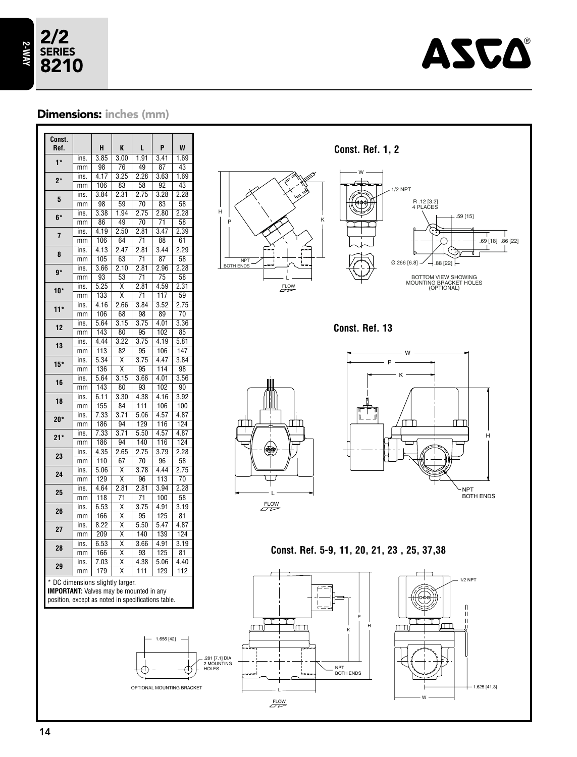

### Dimensions: inches (mm)

| Const.<br>Ref.                                                                     |            | H                 | K                            | L                       | P               | W               |
|------------------------------------------------------------------------------------|------------|-------------------|------------------------------|-------------------------|-----------------|-----------------|
| $1*$                                                                               | ins.       | 3.85              | 3.00                         | 1.91                    | 3.41            | 1.69            |
|                                                                                    | mm         | 98                | 76                           | 49                      | 87              | 43              |
| $2*$                                                                               | ins.       | $\overline{4.17}$ | 3.25                         | 2.28                    | 3.63            | 1.69            |
|                                                                                    | mm         | 106               | 83                           | 58                      | $\overline{92}$ | 43              |
|                                                                                    | ins.       | 3.84              | 2.31                         | 2.75                    | 3.28            | 2.28            |
| 5                                                                                  | mm         | 98                | 59                           | 70                      | 83              | 58              |
| 6*                                                                                 | ins.       | 3.38              | 1.94                         | 2.75                    | 2.80            | 2.28            |
|                                                                                    | mm         | 86                | 49                           | 70                      | 71              | 58              |
| $\overline{1}$                                                                     | ins.       | 4.19              | 2.50                         | 2.81                    | 3.47            | 2.39            |
|                                                                                    | mm         | 106               | 64                           | 71                      | 88              | 61              |
| 8                                                                                  | ins.       | 4.13              | 2.47                         | 2.81                    | 3.44            | 2.29            |
|                                                                                    | mm         | 105               | 63                           | 71                      | 87              | 58              |
| $\mathbf{g}^{\star}$                                                               | ins.       | 3.66              | 2.10                         | 2.81                    | 2.96            | 2.28            |
|                                                                                    | mm         | 93                | $\overline{53}$              | 71                      | $\overline{75}$ | 58              |
| $10*$                                                                              | ins.       | 5.25              | Χ                            | 2.81                    | 4.59            | 2.31            |
|                                                                                    | mm         | 133               | Χ                            | 71                      | 117             | 59              |
| $11*$                                                                              | ins.       | 4.16              | 2.66                         | 3.84                    | 3.52            | 2.75            |
|                                                                                    | mm         | 106               | $\overline{68}$              | 98                      | 89              | $\overline{70}$ |
| 12                                                                                 | ins.       | 5.64              | 3.15                         | 3.75                    | 4.01            | 3.36            |
|                                                                                    | mm         | 143               | 80                           | 95                      | 102             | 85              |
| 13                                                                                 | ins.       | 4.44              | 3.22                         | 3.75                    | 4.19            | 5.81            |
|                                                                                    | mm         | 113               | 82                           | 95                      | 106             | 147             |
| $15*$                                                                              | ins.       | 5.34              | $\overline{\mathsf{x}}$      | 3.75                    | 4.47            | 3.84            |
|                                                                                    | mm         | 136               | Χ                            | 95                      | 114             | 98              |
| 16                                                                                 | ins.       | 5.64              | 3.15                         | 3.66                    | 4.01            | 3.56            |
|                                                                                    | mm         | 143               | 80                           | 93                      | 102             | 90              |
| 18                                                                                 | ins.       | 6.11              | 3.30                         | 4.38                    | 4.16            | 3.92            |
|                                                                                    | mm         | 155               | 84                           | 111                     | 106             | 100             |
| 20*                                                                                | ins.       | 7.33              | 3.71                         | 5.06                    | 4.57            | 4.87            |
|                                                                                    | mm         | 186               | 94                           | 129                     | 116             | 124             |
| $21*$                                                                              | ins.       | 7.33              | 3.71                         | 5.50                    | 4.57            | 4.87            |
|                                                                                    | mm         | 186               | 94                           | 140                     | 116             | 124             |
| 23                                                                                 | ins.       | 4.35              | 2.65                         | 2.75<br>$\overline{70}$ | 3.79            | 2.28            |
|                                                                                    | mm         | 110               | 67                           |                         | 96              | 58              |
| 24                                                                                 | ins.       | 5.06<br>129       | X<br>$\overline{\mathsf{x}}$ | 3.78                    | 4.44<br>113     | 2.75<br>70      |
|                                                                                    | mm         | 4.64              | 2.81                         | 96<br>2.81              | 3.94            | 2.28            |
| 25                                                                                 | ins.       | 118               | $\overline{71}$              | $\overline{71}$         | 100             | 58              |
|                                                                                    | mm         | 6.53              | Χ                            | 3.75                    | 4.91            | 3.19            |
| 26                                                                                 | ins.<br>mm | 166               | Χ                            | 95                      | 125             | 81              |
|                                                                                    | ins.       | 8.22              | $\overline{\textsf{x}}$      | 5.50                    | 5.47            | 4.87            |
| 27                                                                                 |            | 209               | Χ                            | 140                     | 139             | 124             |
|                                                                                    | mm         | 6.53              | $\overline{\mathsf{x}}$      | 3.66                    | 4.91            | 3.19            |
| 28                                                                                 | ins.       | 166               | X                            | 93                      | 125             | 81              |
|                                                                                    | mm         | 7.03              | $\overline{\mathsf{x}}$      | 4.38                    | 5.06            | 4.40            |
| 29                                                                                 | ins.       | 179               | X                            | 111                     | 129             |                 |
|                                                                                    | mm         |                   |                              |                         |                 | 112             |
| * DC dimensions slightly larger.<br><b>IMPORTANT:</b> Valves may be mounted in any |            |                   |                              |                         |                 |                 |



**Const. Ref. 13**



W P K ╓ ╓╌╖ H NPT BOTH ENDS

**Const. Ref. 5-9, 11, 20, 21, 23 , 25, 37,38**

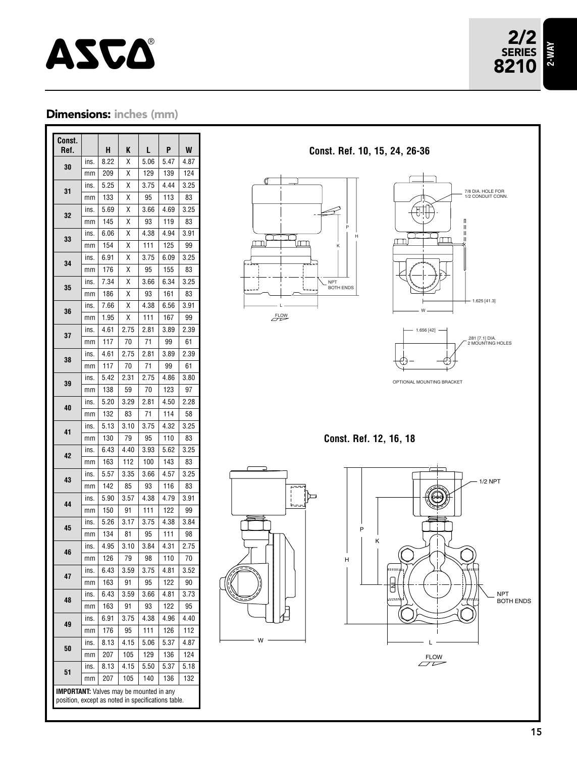

## Dimensions: inches (mm)

| Const.<br>Ref.                                                                                       |      | н    | K    | L    | P    | W    |
|------------------------------------------------------------------------------------------------------|------|------|------|------|------|------|
|                                                                                                      | ins. | 8.22 | Χ    | 5.06 | 5.47 | 4.87 |
| 30                                                                                                   | mm   | 209  | Χ    | 129  | 139  | 124  |
|                                                                                                      | ins. | 5.25 | Χ    | 3.75 | 4.44 | 3.25 |
| 31                                                                                                   | mm   | 133  | Χ    | 95   | 113  | 83   |
|                                                                                                      | ins. | 5.69 | Χ    | 3.66 | 4.69 | 3.25 |
| 32                                                                                                   | mm   | 145  | Χ    | 93   | 119  | 83   |
| 33                                                                                                   | ins. | 6.06 | Χ    | 4.38 | 4.94 | 3.91 |
|                                                                                                      | mm   | 154  | Χ    | 111  | 125  | 99   |
| 34                                                                                                   | ins. | 6.91 | Χ    | 3.75 | 6.09 | 3.25 |
|                                                                                                      | mm   | 176  | Χ    | 95   | 155  | 83   |
| 35                                                                                                   | ins. | 7.34 | Χ    | 3.66 | 6.34 | 3.25 |
|                                                                                                      | mm   | 186  | Χ    | 93   | 161  | 83   |
| 36                                                                                                   | ins. | 7.66 | Χ    | 4.38 | 6.56 | 3.91 |
|                                                                                                      | mm   | 1.95 | Χ    | 111  | 167  | 99   |
| 37                                                                                                   | ins. | 4.61 | 2.75 | 2.81 | 3.89 | 2.39 |
|                                                                                                      | mm   | 117  | 70   | 71   | 99   | 61   |
| 38                                                                                                   | ins. | 4.61 | 2.75 | 2.81 | 3.89 | 2.39 |
|                                                                                                      | mm   | 117  | 70   | 71   | 99   | 61   |
| 39                                                                                                   | ins. | 5.42 | 2.31 | 2.75 | 4.86 | 3.80 |
|                                                                                                      | mm   | 138  | 59   | 70   | 123  | 97   |
| 40                                                                                                   | ins. | 5.20 | 3.29 | 2.81 | 4.50 | 2.28 |
|                                                                                                      | mm   | 132  | 83   | 71   | 114  | 58   |
| 41                                                                                                   | ins. | 5.13 | 3.10 | 3.75 | 4.32 | 3.25 |
|                                                                                                      | mm   | 130  | 79   | 95   | 110  | 83   |
| 42                                                                                                   | ins. | 6.43 | 4.40 | 3.93 | 5.62 | 3.25 |
|                                                                                                      | mm   | 163  | 112  | 100  | 143  | 83   |
| 43                                                                                                   | ins. | 5.57 | 3.35 | 3.66 | 4.57 | 3.25 |
|                                                                                                      | mm   | 142  | 85   | 93   | 116  | 83   |
| 44                                                                                                   | INS. | 5.90 | 3.57 | 4.38 | 4.79 | 3.91 |
|                                                                                                      | mm   | 150  | 91   | 111  | 122  | 99   |
| 45                                                                                                   | ins. | 5.26 | 3.17 | 3.75 | 4.38 | 3.84 |
|                                                                                                      | mm   | 134  | 81   | 95   | 111  | 98   |
| 46                                                                                                   | ins. | 4.95 | 3.10 | 3.84 | 4.31 | 2.75 |
|                                                                                                      | mm   | 126  | 79   | 98   | 110  | 70   |
| 47                                                                                                   | ins. | 6.43 | 3.59 | 3.75 | 4.81 | 3.52 |
|                                                                                                      | mm   | 163  | 91   | 95   | 122  | 90   |
| 48                                                                                                   | ins. | 6.43 | 3.59 | 3.66 | 4.81 | 3.73 |
|                                                                                                      | mm   | 163  | 91   | 93   | 122  | 95   |
| 49                                                                                                   | ins. | 6.91 | 3.75 | 4.38 | 4.96 | 4.40 |
|                                                                                                      | mm   | 176  | 95   | 111  | 126  | 112  |
| 50                                                                                                   | ins. | 8.13 | 4.15 | 5.06 | 5.37 | 4.87 |
|                                                                                                      | mm   | 207  | 105  | 129  | 136  | 124  |
| 51                                                                                                   | ins. | 8.13 | 4.15 | 5.50 | 5.37 | 5.18 |
|                                                                                                      | mm   | 207  | 105  | 140  | 136  | 132  |
| <b>IMPORTANT:</b> Valves may be mounted in any<br>position, except as noted in specifications table. |      |      |      |      |      |      |





**Const. Ref. 12, 16, 18**



L NPT<br>BOTH ENDS 1/2 NPT FLOW 13